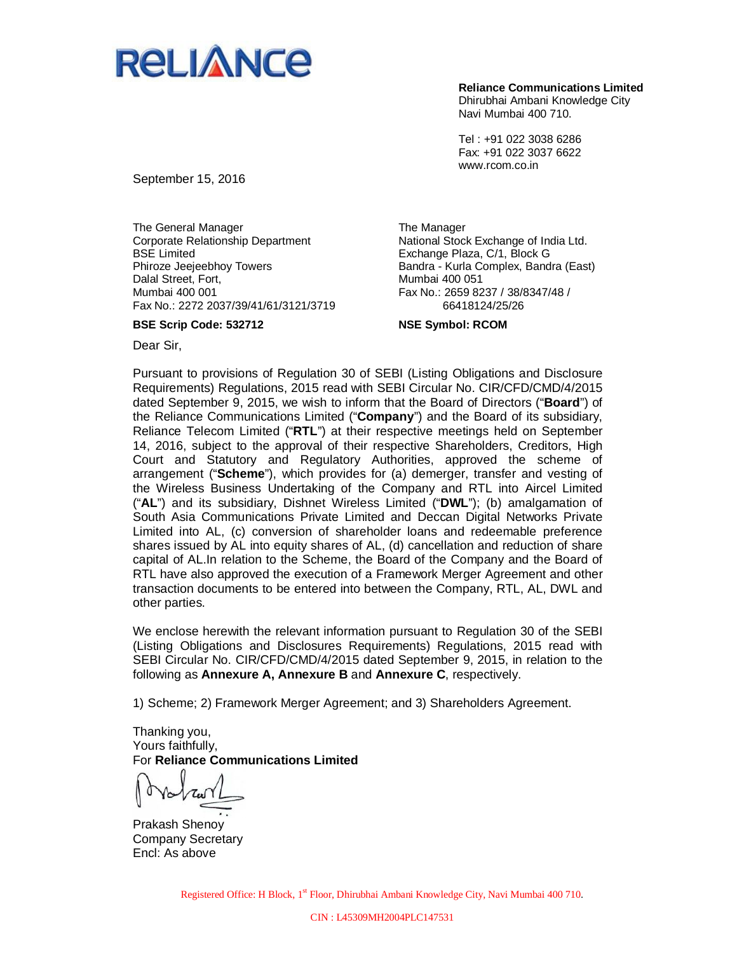

Tel : +91 022 3038 6286 Fax: +91 022 3037 6622 www.rcom.co.in

September 15, 2016

The General Manager Corporate Relationship Department BSE Limited Phiroze Jeejeebhoy Towers Dalal Street, Fort, Mumbai 400 001 Fax No.: 2272 2037/39/41/61/3121/3719

**BSE Scrip Code: 532712**

The Manager National Stock Exchange of India Ltd. Exchange Plaza, C/1, Block G Bandra - Kurla Complex, Bandra (East) Mumbai 400 051 Fax No.: 2659 8237 / 38/8347/48 / 66418124/25/26

**NSE Symbol: RCOM**

Dear Sir,

Pursuant to provisions of Regulation 30 of SEBI (Listing Obligations and Disclosure Requirements) Regulations, 2015 read with SEBI Circular No. CIR/CFD/CMD/4/2015 dated September 9, 2015, we wish to inform that the Board of Directors ("**Board**") of the Reliance Communications Limited ("**Company**") and the Board of its subsidiary, Reliance Telecom Limited ("**RTL**") at their respective meetings held on September 14, 2016, subject to the approval of their respective Shareholders, Creditors, High Court and Statutory and Regulatory Authorities, approved the scheme of arrangement ("**Scheme**"), which provides for (a) demerger, transfer and vesting of the Wireless Business Undertaking of the Company and RTL into Aircel Limited ("**AL**") and its subsidiary, Dishnet Wireless Limited ("**DWL**"); (b) amalgamation of South Asia Communications Private Limited and Deccan Digital Networks Private Limited into AL, (c) conversion of shareholder loans and redeemable preference shares issued by AL into equity shares of AL, (d) cancellation and reduction of share capital of AL.In relation to the Scheme, the Board of the Company and the Board of RTL have also approved the execution of a Framework Merger Agreement and other transaction documents to be entered into between the Company, RTL, AL, DWL and other parties.

We enclose herewith the relevant information pursuant to Regulation 30 of the SEBI (Listing Obligations and Disclosures Requirements) Regulations, 2015 read with SEBI Circular No. CIR/CFD/CMD/4/2015 dated September 9, 2015, in relation to the following as **Annexure A, Annexure B** and **Annexure C**, respectively.

1) Scheme; 2) Framework Merger Agreement; and 3) Shareholders Agreement.

Thanking you, Yours faithfully, For **Reliance Communications Limited**

Prakash Shenoy Company Secretary Encl: As above

Registered Office: H Block, 1<sup>st</sup> Floor, Dhirubhai Ambani Knowledge City, Navi Mumbai 400 710.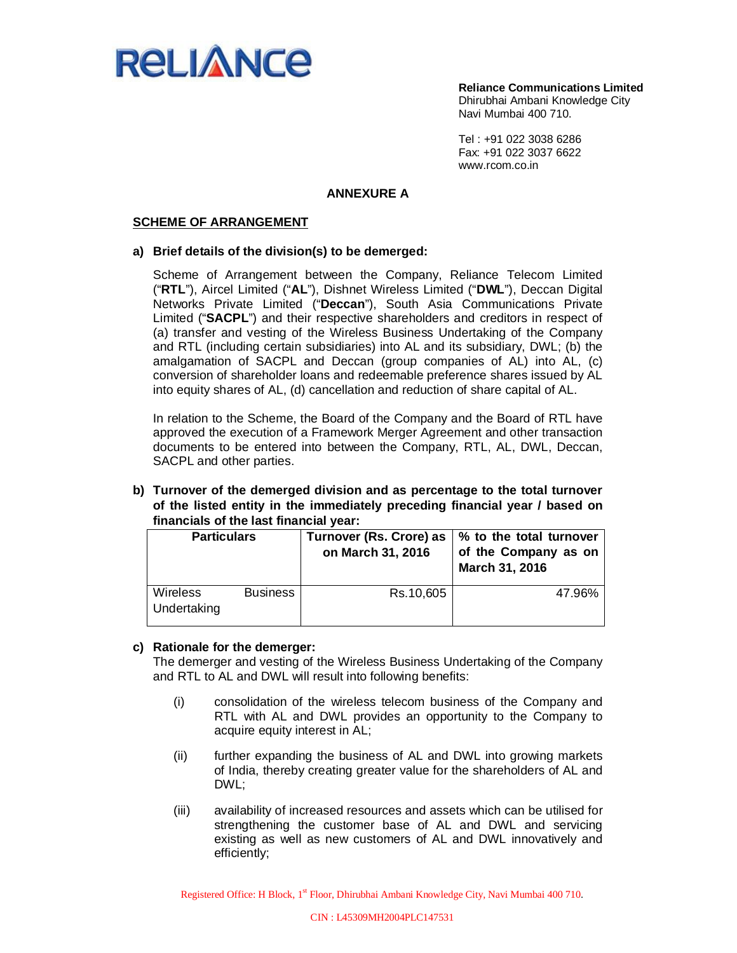

Tel : +91 022 3038 6286 Fax: +91 022 3037 6622 www.rcom.co.in

### **ANNEXURE A**

#### **SCHEME OF ARRANGEMENT**

#### **a) Brief details of the division(s) to be demerged:**

Scheme of Arrangement between the Company, Reliance Telecom Limited ("**RTL**"), Aircel Limited ("**AL**"), Dishnet Wireless Limited ("**DWL**"), Deccan Digital Networks Private Limited ("**Deccan**"), South Asia Communications Private Limited ("**SACPL**") and their respective shareholders and creditors in respect of (a) transfer and vesting of the Wireless Business Undertaking of the Company and RTL (including certain subsidiaries) into AL and its subsidiary, DWL; (b) the amalgamation of SACPL and Deccan (group companies of AL) into AL, (c) conversion of shareholder loans and redeemable preference shares issued by AL into equity shares of AL, (d) cancellation and reduction of share capital of AL.

In relation to the Scheme, the Board of the Company and the Board of RTL have approved the execution of a Framework Merger Agreement and other transaction documents to be entered into between the Company, RTL, AL, DWL, Deccan, SACPL and other parties.

**b) Turnover of the demerged division and as percentage to the total turnover of the listed entity in the immediately preceding financial year / based on financials of the last financial year:**

| <b>Particulars</b>             |                 | Turnover (Rs. Crore) as<br>on March 31, 2016 | % to the total turnover<br>of the Company as on<br>March 31, 2016 |
|--------------------------------|-----------------|----------------------------------------------|-------------------------------------------------------------------|
| <b>Wireless</b><br>Undertaking | <b>Business</b> | Rs.10,605                                    | 47.96%                                                            |

#### **c) Rationale for the demerger:**

The demerger and vesting of the Wireless Business Undertaking of the Company and RTL to AL and DWL will result into following benefits:

- (i) consolidation of the wireless telecom business of the Company and RTL with AL and DWL provides an opportunity to the Company to acquire equity interest in AL;
- (ii) further expanding the business of AL and DWL into growing markets of India, thereby creating greater value for the shareholders of AL and DWL;
- (iii) availability of increased resources and assets which can be utilised for strengthening the customer base of AL and DWL and servicing existing as well as new customers of AL and DWL innovatively and efficiently;

Registered Office: H Block, 1<sup>st</sup> Floor, Dhirubhai Ambani Knowledge City, Navi Mumbai 400 710.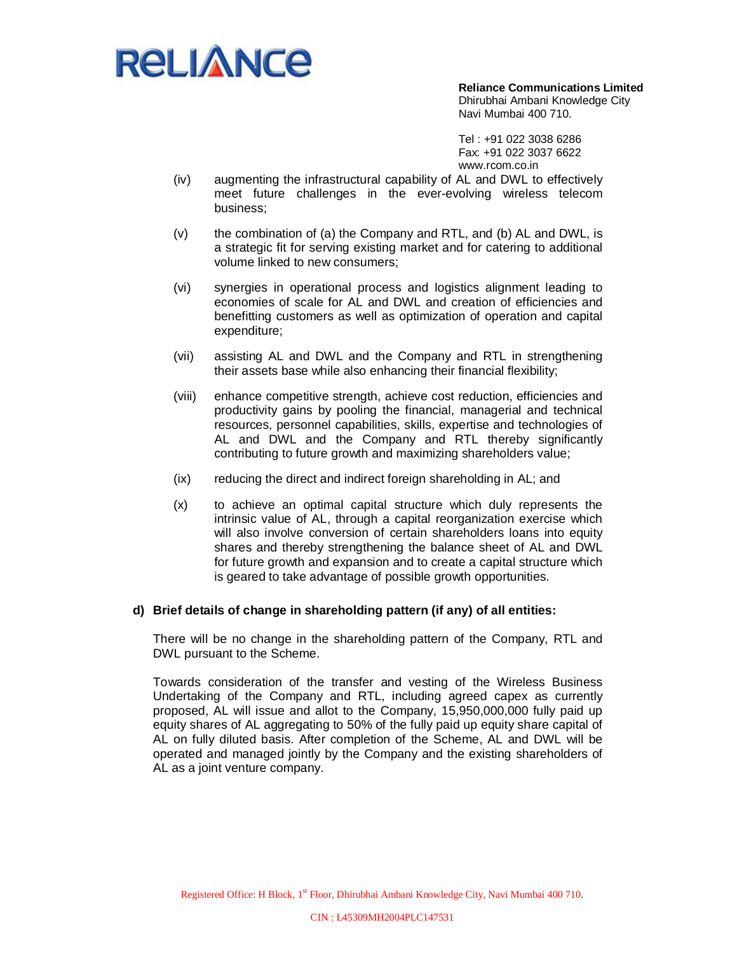

Tel : +91 022 3038 6286 Fax: +91 022 3037 6622 www.rcom.co.in

- (iv) augmenting the infrastructural capability of AL and DWL to effectively meet future challenges in the ever-evolving wireless telecom business;
- $(v)$  the combination of (a) the Company and RTL, and (b) AL and DWL, is a strategic fit for serving existing market and for catering to additional volume linked to new consumers;
- (vi) synergies in operational process and logistics alignment leading to economies of scale for AL and DWL and creation of efficiencies and benefitting customers as well as optimization of operation and capital expenditure;
- (vii) assisting AL and DWL and the Company and RTL in strengthening their assets base while also enhancing their financial flexibility;
- (viii) enhance competitive strength, achieve cost reduction, efficiencies and productivity gains by pooling the financial, managerial and technical resources, personnel capabilities, skills, expertise and technologies of AL and DWL and the Company and RTL thereby significantly contributing to future growth and maximizing shareholders value;
- (ix) reducing the direct and indirect foreign shareholding in AL; and
- (x) to achieve an optimal capital structure which duly represents the intrinsic value of AL, through a capital reorganization exercise which will also involve conversion of certain shareholders loans into equity shares and thereby strengthening the balance sheet of AL and DWL for future growth and expansion and to create a capital structure which is geared to take advantage of possible growth opportunities.

#### **d) Brief details of change in shareholding pattern (if any) of all entities:**

There will be no change in the shareholding pattern of the Company, RTL and DWL pursuant to the Scheme.

Towards consideration of the transfer and vesting of the Wireless Business Undertaking of the Company and RTL, including agreed capex as currently proposed, AL will issue and allot to the Company, 15,950,000,000 fully paid up equity shares of AL aggregating to 50% of the fully paid up equity share capital of AL on fully diluted basis. After completion of the Scheme, AL and DWL will be operated and managed jointly by the Company and the existing shareholders of AL as a joint venture company.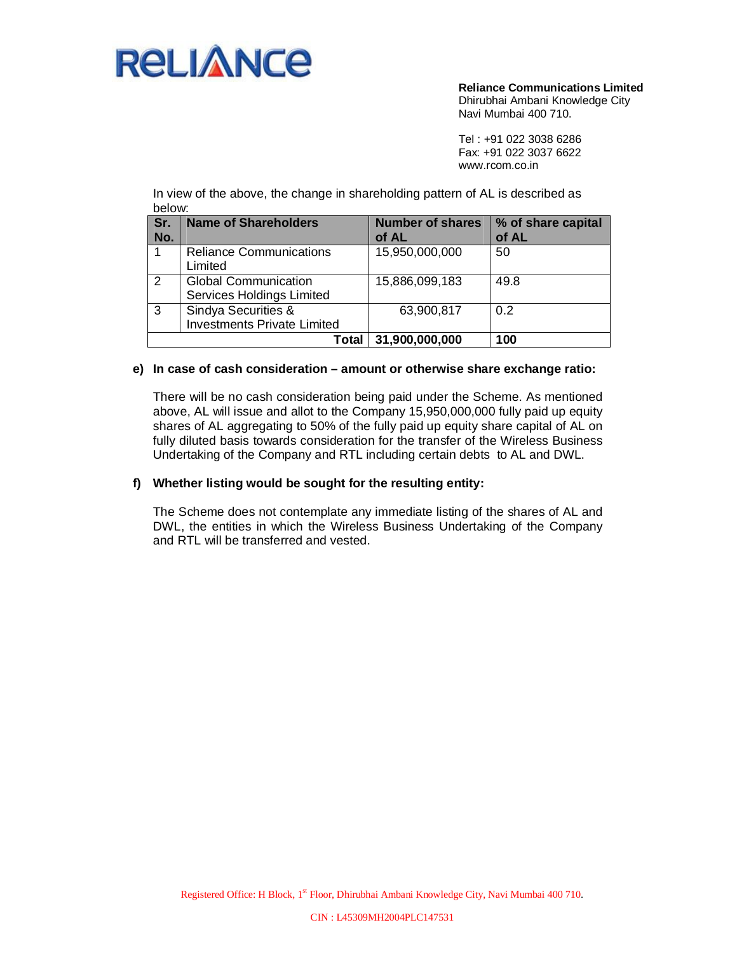

**Reliance Communications Limited**

Dhirubhai Ambani Knowledge City Navi Mumbai 400 710.

Tel : +91 022 3038 6286 Fax: +91 022 3037 6622 www.rcom.co.in

In view of the above, the change in shareholding pattern of AL is described as below:

| Sr.<br>No. | <b>Name of Shareholders</b>                               | <b>Number of shares</b><br>of AL | % of share capital<br>of AL |
|------------|-----------------------------------------------------------|----------------------------------|-----------------------------|
|            | <b>Reliance Communications</b><br>Limited                 | 15,950,000,000                   | 50                          |
| 2          | <b>Global Communication</b><br>Services Holdings Limited  | 15,886,099,183                   | 49.8                        |
| 3          | Sindya Securities &<br><b>Investments Private Limited</b> | 63,900,817                       | 0.2                         |
|            | Total                                                     | 31,900,000,000                   | 100                         |

#### **e) In case of cash consideration – amount or otherwise share exchange ratio:**

There will be no cash consideration being paid under the Scheme. As mentioned above, AL will issue and allot to the Company 15,950,000,000 fully paid up equity shares of AL aggregating to 50% of the fully paid up equity share capital of AL on fully diluted basis towards consideration for the transfer of the Wireless Business Undertaking of the Company and RTL including certain debts to AL and DWL.

#### **f) Whether listing would be sought for the resulting entity:**

The Scheme does not contemplate any immediate listing of the shares of AL and DWL, the entities in which the Wireless Business Undertaking of the Company and RTL will be transferred and vested.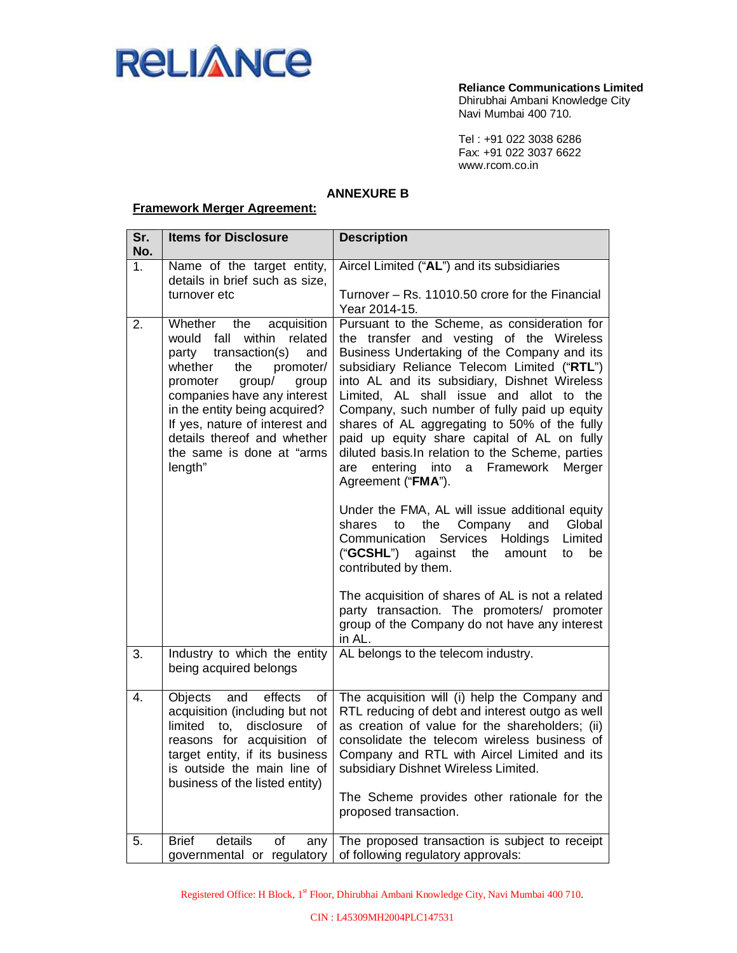

Tel : +91 022 3038 6286 Fax: +91 022 3037 6622 www.rcom.co.in

## **ANNEXURE B**

## **Framework Merger Agreement:**

| Sr.<br>No. | <b>Items for Disclosure</b>                                                                                                                                                                                                                                                                                                               | <b>Description</b>                                                                                                                                                                                                                                                                                                                                                                                                                                                                                                                                                                                                                                                                                                                                                                                                                                                                                                                                            |
|------------|-------------------------------------------------------------------------------------------------------------------------------------------------------------------------------------------------------------------------------------------------------------------------------------------------------------------------------------------|---------------------------------------------------------------------------------------------------------------------------------------------------------------------------------------------------------------------------------------------------------------------------------------------------------------------------------------------------------------------------------------------------------------------------------------------------------------------------------------------------------------------------------------------------------------------------------------------------------------------------------------------------------------------------------------------------------------------------------------------------------------------------------------------------------------------------------------------------------------------------------------------------------------------------------------------------------------|
| 1.         | Name of the target entity,<br>details in brief such as size,                                                                                                                                                                                                                                                                              | Aircel Limited ("AL") and its subsidiaries                                                                                                                                                                                                                                                                                                                                                                                                                                                                                                                                                                                                                                                                                                                                                                                                                                                                                                                    |
|            | turnover etc                                                                                                                                                                                                                                                                                                                              | Turnover - Rs. 11010.50 crore for the Financial<br>Year 2014-15.                                                                                                                                                                                                                                                                                                                                                                                                                                                                                                                                                                                                                                                                                                                                                                                                                                                                                              |
| 2.         | the<br>Whether<br>acquisition<br>would<br>within related<br>fall<br>transaction(s)<br>and<br>party<br>whether<br>the<br>promoter/<br>promoter<br>group/<br>group<br>companies have any interest<br>in the entity being acquired?<br>If yes, nature of interest and<br>details thereof and whether<br>the same is done at "arms<br>length" | Pursuant to the Scheme, as consideration for<br>the transfer and vesting of the Wireless<br>Business Undertaking of the Company and its<br>subsidiary Reliance Telecom Limited ("RTL")<br>into AL and its subsidiary, Dishnet Wireless<br>Limited, AL shall issue and allot to the<br>Company, such number of fully paid up equity<br>shares of AL aggregating to 50% of the fully<br>paid up equity share capital of AL on fully<br>diluted basis. In relation to the Scheme, parties<br>entering into a<br>Framework<br>Merger<br>are<br>Agreement ("FMA").<br>Under the FMA, AL will issue additional equity<br>Global<br>shares<br>the<br>Company<br>and<br>to<br>Services<br>Communication<br>Holdings<br>Limited<br>("GCSHL") against<br>the<br>be<br>amount<br>to<br>contributed by them.<br>The acquisition of shares of AL is not a related<br>party transaction. The promoters/ promoter<br>group of the Company do not have any interest<br>in AL. |
| 3.         | Industry to which the entity<br>being acquired belongs                                                                                                                                                                                                                                                                                    | AL belongs to the telecom industry.                                                                                                                                                                                                                                                                                                                                                                                                                                                                                                                                                                                                                                                                                                                                                                                                                                                                                                                           |
| 4.         | <b>Objects</b><br>and<br>effects<br>of<br>acquisition (including but not<br>of<br>limited to,<br>disclosure<br>reasons for acquisition of<br>target entity, if its business<br>is outside the main line of<br>business of the listed entity)                                                                                              | The acquisition will (i) help the Company and<br>RTL reducing of debt and interest outgo as well<br>as creation of value for the shareholders; (ii)<br>consolidate the telecom wireless business of<br>Company and RTL with Aircel Limited and its<br>subsidiary Dishnet Wireless Limited.<br>The Scheme provides other rationale for the<br>proposed transaction.                                                                                                                                                                                                                                                                                                                                                                                                                                                                                                                                                                                            |
| 5.         | details<br><b>Brief</b><br>οf<br>any<br>governmental or regulatory                                                                                                                                                                                                                                                                        | The proposed transaction is subject to receipt<br>of following regulatory approvals:                                                                                                                                                                                                                                                                                                                                                                                                                                                                                                                                                                                                                                                                                                                                                                                                                                                                          |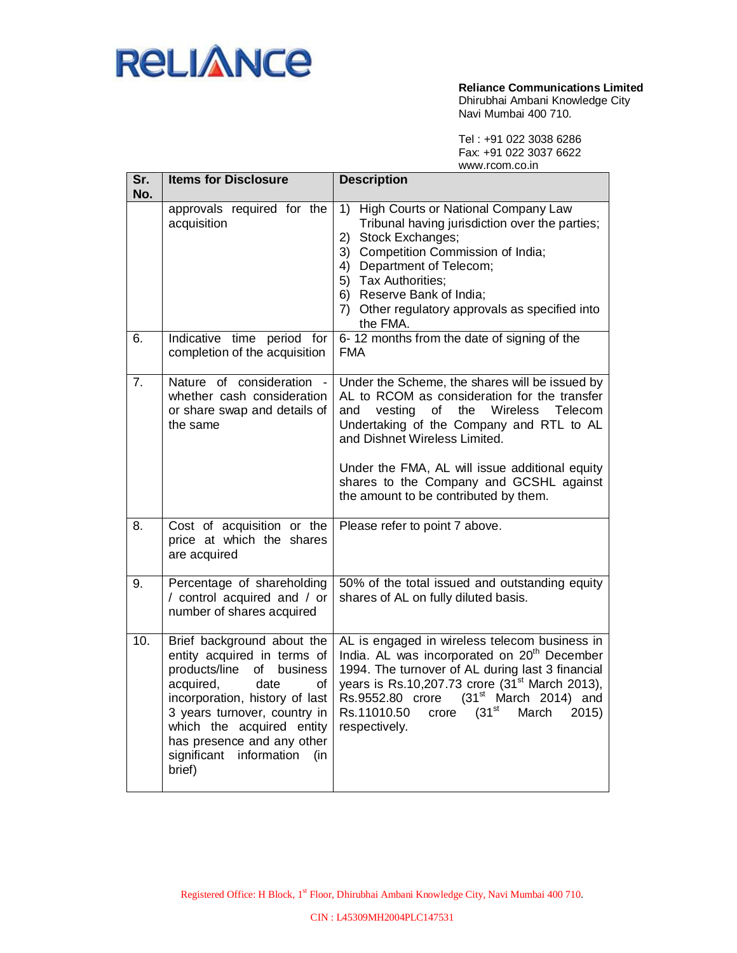

**Reliance Communications Limited**

Dhirubhai Ambani Knowledge City Navi Mumbai 400 710.

Tel : +91 022 3038 6286 Fax: +91 022 3037 6622 www.rcom.co.in

| Sr. | <b>Items for Disclosure</b>                                                                                                                                                                                                                                                                         | www.iUUili.uU.iii<br><b>Description</b>                                                                                                                                                                                                                                                                                                                                 |
|-----|-----------------------------------------------------------------------------------------------------------------------------------------------------------------------------------------------------------------------------------------------------------------------------------------------------|-------------------------------------------------------------------------------------------------------------------------------------------------------------------------------------------------------------------------------------------------------------------------------------------------------------------------------------------------------------------------|
| No. | approvals required for the<br>acquisition                                                                                                                                                                                                                                                           | 1) High Courts or National Company Law<br>Tribunal having jurisdiction over the parties;<br>2) Stock Exchanges;<br>3) Competition Commission of India;<br>4) Department of Telecom;<br>5) Tax Authorities;<br>6) Reserve Bank of India;<br>7) Other regulatory approvals as specified into<br>the FMA.                                                                  |
| 6.  | Indicative time period for<br>completion of the acquisition                                                                                                                                                                                                                                         | 6-12 months from the date of signing of the<br><b>FMA</b>                                                                                                                                                                                                                                                                                                               |
| 7.  | Nature of consideration<br>whether cash consideration<br>or share swap and details of<br>the same                                                                                                                                                                                                   | Under the Scheme, the shares will be issued by<br>AL to RCOM as consideration for the transfer<br>vesting<br>the<br>Wireless<br>Telecom<br>and<br>of<br>Undertaking of the Company and RTL to AL<br>and Dishnet Wireless Limited.<br>Under the FMA, AL will issue additional equity<br>shares to the Company and GCSHL against<br>the amount to be contributed by them. |
| 8.  | Cost of acquisition or the<br>price at which the shares<br>are acquired                                                                                                                                                                                                                             | Please refer to point 7 above.                                                                                                                                                                                                                                                                                                                                          |
| 9.  | Percentage of shareholding<br>/ control acquired and / or<br>number of shares acquired                                                                                                                                                                                                              | 50% of the total issued and outstanding equity<br>shares of AL on fully diluted basis.                                                                                                                                                                                                                                                                                  |
| 10. | Brief background about the<br>entity acquired in terms of<br>products/line<br>business<br>οf<br>acquired,<br>date<br>οf<br>incorporation, history of last<br>3 years turnover, country in<br>which the acquired entity<br>has presence and any other<br>significant<br>information<br>(in<br>brief) | AL is engaged in wireless telecom business in<br>India. AL was incorporated on 20 <sup>th</sup> December<br>1994. The turnover of AL during last 3 financial<br>years is Rs.10,207.73 crore (31 <sup>st</sup> March 2013),<br>$(31st$ March 2014) and<br>Rs.9552.80 crore<br>(31 <sup>st</sup> )<br>Rs.11010.50<br>March<br>2015)<br>crore<br>respectively.             |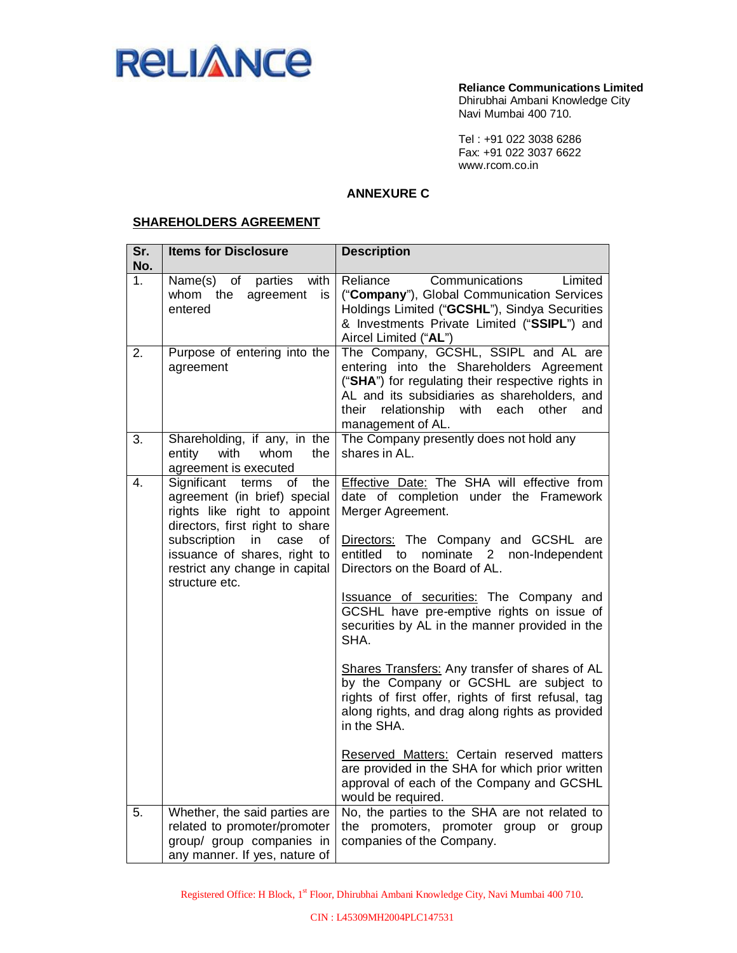

Tel : +91 022 3038 6286 Fax: +91 022 3037 6622 www.rcom.co.in

## **ANNEXURE C**

### **SHAREHOLDERS AGREEMENT**

| Sr.<br>No.     | <b>Items for Disclosure</b>                                                                                                                                                                                                             | <b>Description</b>                                                                                                                                                                                                                                               |
|----------------|-----------------------------------------------------------------------------------------------------------------------------------------------------------------------------------------------------------------------------------------|------------------------------------------------------------------------------------------------------------------------------------------------------------------------------------------------------------------------------------------------------------------|
| 1 <sub>1</sub> | Name(s)<br>with<br>of<br>parties<br>whom the<br>agreement<br>is<br>entered                                                                                                                                                              | Reliance<br>Communications<br>Limited<br>("Company"), Global Communication Services<br>Holdings Limited ("GCSHL"), Sindya Securities<br>& Investments Private Limited ("SSIPL") and<br>Aircel Limited ("AL")                                                     |
| 2.             | Purpose of entering into the<br>agreement                                                                                                                                                                                               | The Company, GCSHL, SSIPL and AL are<br>entering into the Shareholders Agreement<br>("SHA") for regulating their respective rights in<br>AL and its subsidiaries as shareholders, and<br>relationship<br>with each<br>other<br>their<br>and<br>management of AL. |
| 3.             | Shareholding, if any, in the<br>with<br>whom<br>entity<br>the<br>agreement is executed                                                                                                                                                  | The Company presently does not hold any<br>shares in AL.                                                                                                                                                                                                         |
| 4.             | Significant terms<br>the<br>0f<br>agreement (in brief) special<br>rights like right to appoint<br>directors, first right to share<br>subscription<br>case<br>in<br>οf<br>issuance of shares, right to<br>restrict any change in capital | Effective Date: The SHA will effective from<br>date of completion under the Framework<br>Merger Agreement.<br>Directors: The Company and GCSHL are<br>entitled<br>nominate 2 non-Independent<br>to<br>Directors on the Board of AL.                              |
|                | structure etc.                                                                                                                                                                                                                          | Issuance of securities: The Company and<br>GCSHL have pre-emptive rights on issue of<br>securities by AL in the manner provided in the<br>SHA.                                                                                                                   |
|                |                                                                                                                                                                                                                                         | Shares Transfers: Any transfer of shares of AL<br>by the Company or GCSHL are subject to<br>rights of first offer, rights of first refusal, tag<br>along rights, and drag along rights as provided<br>in the SHA.                                                |
|                |                                                                                                                                                                                                                                         | Reserved Matters: Certain reserved matters<br>are provided in the SHA for which prior written<br>approval of each of the Company and GCSHL<br>would be required.                                                                                                 |
| 5.             | Whether, the said parties are<br>related to promoter/promoter<br>group/ group companies in<br>any manner. If yes, nature of                                                                                                             | No, the parties to the SHA are not related to<br>the promoters, promoter group or<br>group<br>companies of the Company.                                                                                                                                          |